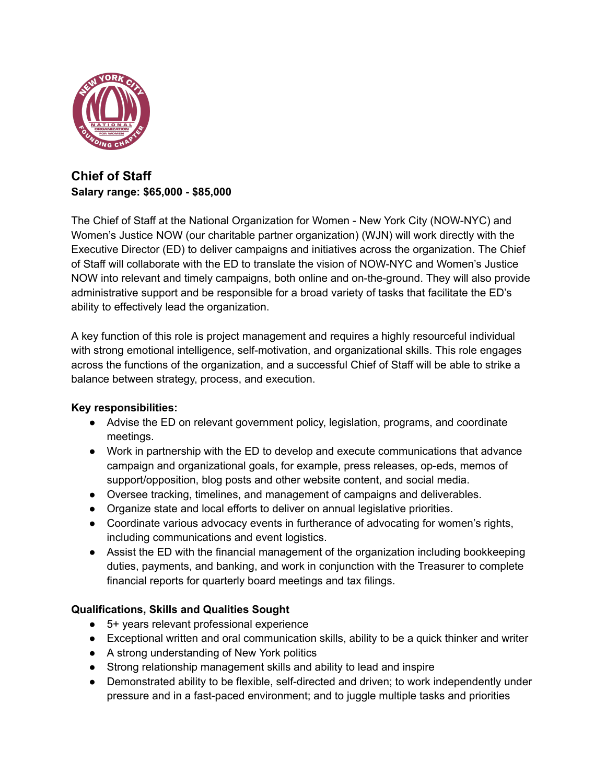

## **Chief of Staff Salary range: \$65,000 - \$85,000**

The Chief of Staff at the National Organization for Women - New York City (NOW-NYC) and Women's Justice NOW (our charitable partner organization) (WJN) will work directly with the Executive Director (ED) to deliver campaigns and initiatives across the organization. The Chief of Staff will collaborate with the ED to translate the vision of NOW-NYC and Women's Justice NOW into relevant and timely campaigns, both online and on-the-ground. They will also provide administrative support and be responsible for a broad variety of tasks that facilitate the ED's ability to effectively lead the organization.

A key function of this role is project management and requires a highly resourceful individual with strong emotional intelligence, self-motivation, and organizational skills. This role engages across the functions of the organization, and a successful Chief of Staff will be able to strike a balance between strategy, process, and execution.

## **Key responsibilities:**

- Advise the ED on relevant government policy, legislation, programs, and coordinate meetings.
- Work in partnership with the ED to develop and execute communications that advance campaign and organizational goals, for example, press releases, op-eds, memos of support/opposition, blog posts and other website content, and social media.
- Oversee tracking, timelines, and management of campaigns and deliverables.
- Organize state and local efforts to deliver on annual legislative priorities.
- Coordinate various advocacy events in furtherance of advocating for women's rights, including communications and event logistics.
- Assist the ED with the financial management of the organization including bookkeeping duties, payments, and banking, and work in conjunction with the Treasurer to complete financial reports for quarterly board meetings and tax filings.

## **Qualifications, Skills and Qualities Sought**

- 5+ years relevant professional experience
- Exceptional written and oral communication skills, ability to be a quick thinker and writer
- A strong understanding of New York politics
- Strong relationship management skills and ability to lead and inspire
- Demonstrated ability to be flexible, self-directed and driven; to work independently under pressure and in a fast-paced environment; and to juggle multiple tasks and priorities